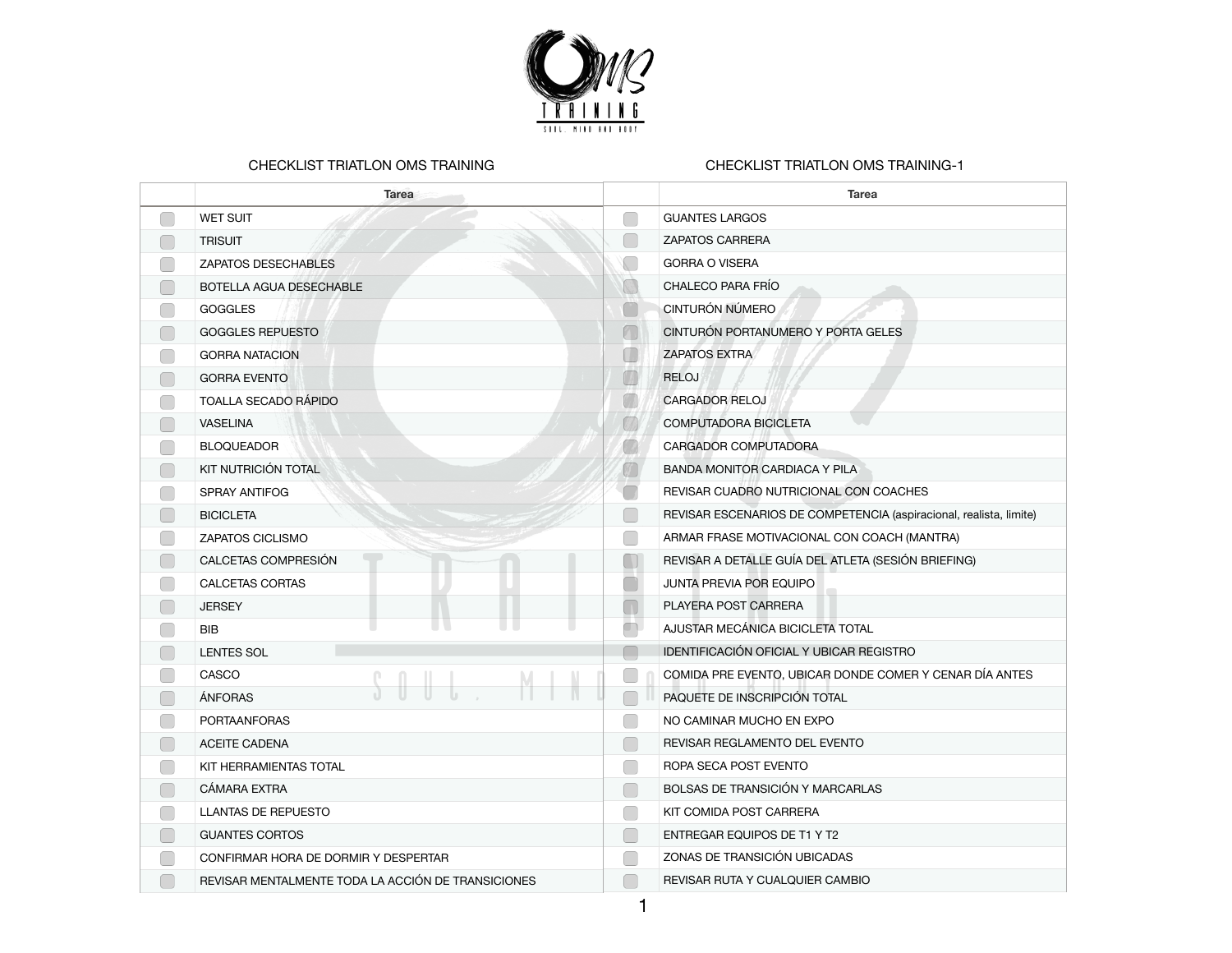

## CHECKLIST TRIATLON OMS TRAINING

## CHECKLIST TRIATLON OMS TRAINING-1

| <b>Tarea</b>                                       |                                                             | <b>Tarea</b>                                                       |
|----------------------------------------------------|-------------------------------------------------------------|--------------------------------------------------------------------|
| <b>WET SUIT</b>                                    | ŋ                                                           | <b>GUANTES LARGOS</b>                                              |
| <b>TRISUIT</b>                                     |                                                             | <b>ZAPATOS CARRERA</b>                                             |
| ZAPATOS DESECHABLES                                |                                                             | <b>GORRA O VISERA</b>                                              |
| BOTELLA AGUA DESECHABLE                            | G                                                           | CHALECO PARA FRÍO                                                  |
| <b>GOGGLES</b>                                     |                                                             | CINTURÓN NÚMERO                                                    |
| <b>GOGGLES REPUESTO</b>                            | $\Box$                                                      | CINTURÓN PORTANUMERO Y PORTA GELES                                 |
| <b>GORRA NATACION</b>                              | T                                                           | <b>ZAPATOS EXTRA</b>                                               |
| <b>GORRA EVENTO</b>                                | W                                                           | <b>RELOJ</b>                                                       |
| TOALLA SECADO RÁPIDO                               | W                                                           | <b>CARGADOR RELOJ</b>                                              |
| <b>VASELINA</b>                                    |                                                             | COMPUTADORA BICICLETA                                              |
| <b>BLOQUEADOR</b>                                  |                                                             | CARGADOR COMPUTADORA                                               |
| KIT NUTRICIÓN TOTAL                                |                                                             | BANDA MONITOR CARDIACA Y PILA                                      |
| SPRAY ANTIFOG                                      |                                                             | REVISAR CUADRO NUTRICIONAL CON COACHES                             |
| <b>BICICLETA</b>                                   |                                                             | REVISAR ESCENARIOS DE COMPETENCIA (aspiracional, realista, limite) |
| ZAPATOS CICLISMO                                   |                                                             | ARMAR FRASE MOTIVACIONAL CON COACH (MANTRA)                        |
| CALCETAS COMPRESIÓN                                |                                                             | REVISAR A DETALLE GUÍA DEL ATLETA (SESIÓN BRIEFING)                |
| CALCETAS CORTAS                                    |                                                             | <b>JUNTA PREVIA POR EQUIPO</b>                                     |
| <b>JERSEY</b>                                      | $\overline{\phantom{a}}$                                    | PLAYERA POST CARRERA                                               |
| <b>BIB</b>                                         | $\Box$                                                      | AJUSTAR MECÁNICA BICICLETA TOTAL                                   |
| <b>LENTES SOL</b>                                  | $\Box$                                                      | IDENTIFICACIÓN OFICIAL Y UBICAR REGISTRO                           |
| CASCO                                              |                                                             | COMIDA PRE EVENTO, UBICAR DONDE COMER Y CENAR DÍA ANTES            |
| ÁNFORAS                                            |                                                             | PAQUETE DE INSCRIPCIÓN TOTAL                                       |
| <b>PORTAANFORAS</b>                                |                                                             | NO CAMINAR MUCHO EN EXPO                                           |
| <b>ACEITE CADENA</b>                               | $\Box$                                                      | REVISAR REGLAMENTO DEL EVENTO                                      |
| KIT HERRAMIENTAS TOTAL                             |                                                             | ROPA SECA POST EVENTO                                              |
| CÁMARA EXTRA                                       | $\mathbb{R}^2$                                              | BOLSAS DE TRANSICIÓN Y MARCARLAS                                   |
| <b>LLANTAS DE REPUESTO</b>                         | $\begin{array}{c} \begin{array}{c} \end{array} \end{array}$ | KIT COMIDA POST CARRERA                                            |
| <b>GUANTES CORTOS</b>                              | o l                                                         | ENTREGAR EQUIPOS DE T1 Y T2                                        |
| CONFIRMAR HORA DE DORMIR Y DESPERTAR               |                                                             | ZONAS DE TRANSICIÓN UBICADAS                                       |
| REVISAR MENTALMENTE TODA LA ACCIÓN DE TRANSICIONES |                                                             | REVISAR RUTA Y CUALQUIER CAMBIO                                    |